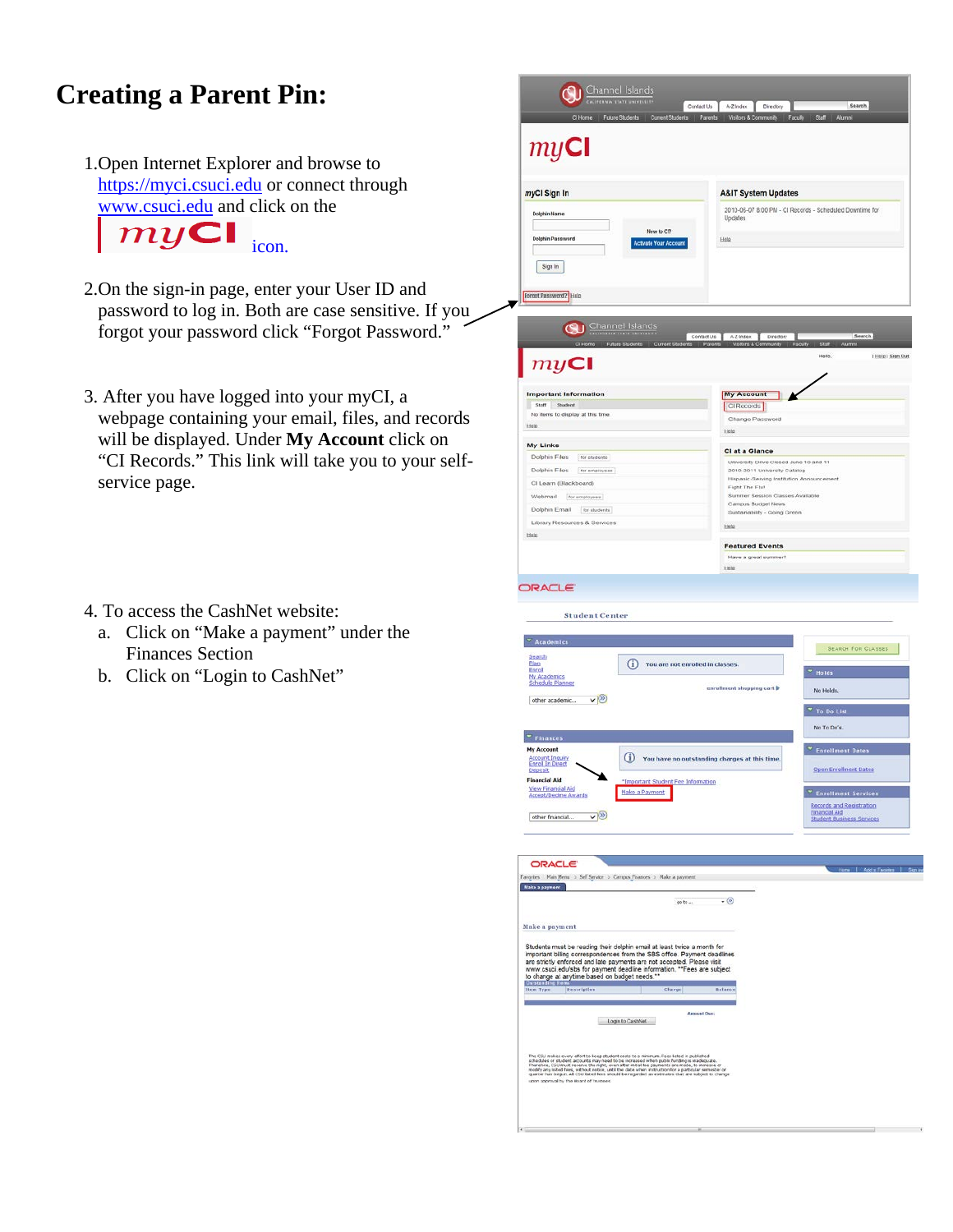# **Creating a Parent Pin:**

1.Open Internet Explorer and browse to [https://myci.csuci.edu](https://myci.csuci.edu/) or connect through [www.csuci.edu](http://www.csuci.edu/) and click on the



- 2.On the sign-in page, enter your User ID and password to log in. Both are case sensitive. If you forgot your password click "Forgot Password."
- 3. After you have logged into your myCI, a webpage containing your email, files, and records will be displayed. Under **My Account** click on "CI Records." This link will take you to your selfservice page.
- 4. To access the CashNet website:
	- a. Click on "Make a payment" under the Finances Section
	- b. Click on "Login to CashNet"